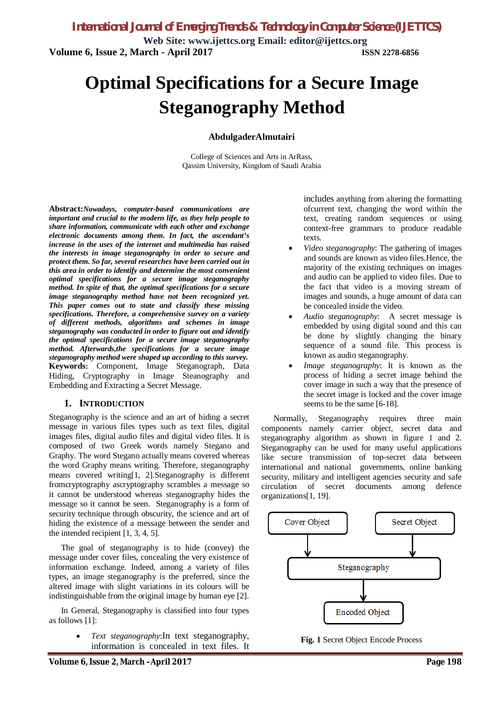**Web Site: www.ijettcs.org Email: editor@ijettcs.org Volume 6, Issue 2, March - April 2017 ISSN 2278-6856**

# **Optimal Specifications for a Secure Image Steganography Method**

#### **AbdulgaderAlmutairi**

College of Sciences and Arts in ArRass, Qassim University, Kingdom of Saudi Arabia

**Abstract:***Nowadays, computer-based communications are important and crucial to the modern life, as they help people to share information, communicate with each other and exchange electronic documents among them. In fact, the ascendant's increase in the uses of the internet and multimedia has raised the interests in image steganography in order to secure and protect them. So far, several researches have been carried out in this area in order to identify and determine the most convenient optimal specifications for a secure image steganography method. In spite of that, the optimal specifications for a secure image steganography method have not been recognized yet. This paper comes out to state and classify these missing specifications. Therefore, a comprehensive survey on a variety of different methods, algorithms and schemes in image steganography was conducted in order to figure out and identify the optimal specifications for a secure image steganography method. Afterwards,the specifications for a secure image steganography method were shaped up according to this survey.*  **Keywords:** Component, Image Steganograph, Data Hiding, Cryptography in Image Steanography and Embedding and Extracting a Secret Message.

#### **1. INTRODUCTION**

Steganography is the science and an art of hiding a secret message in various files types such as text files, digital images files, digital audio files and digital video files. It is composed of two Greek words namely Stegano and Graphy. The word Stegano actually means covered whereas the word Graphy means writing. Therefore, steganography means covered writing[1, 2].Steganography is different fromcryptography ascryptography scrambles a message so it cannot be understood whereas steganography hides the message so it cannot be seen. Steganography is a form of security technique through obscurity, the science and art of hiding the existence of a message between the sender and the intended recipient [1, 3, 4, 5].

The goal of steganography is to hide (convey) the message under cover files, concealing the very existence of information exchange. Indeed, among a variety of files types, an image steganography is the preferred, since the altered image with slight variations in its colours will be indistinguishable from the original image by human eye [2].

In General, Steganography is classified into four types as follows [1]:

> *Text steganography*:In text steganography, information is concealed in text files. It

includes anything from altering the formatting ofcurrent text, changing the word within the text, creating random sequences or using context-free grammars to produce readable texts.

- *Video steganography*: The gathering of images and sounds are known as video files.Hence, the majority of the existing techniques on images and audio can be applied to video files. Due to the fact that video is a moving stream of images and sounds, a huge amount of data can be concealed inside the video.
- *Audio steganography*: A secret message is embedded by using digital sound and this can be done by slightly changing the binary sequence of a sound file. This process is known as audio steganography.
- *Image steganography*: It is known as the process of hiding a secret image behind the cover image in such a way that the presence of the secret image is locked and the cover image seems to be the same [6-18].

Normally, Steganography requires three main components namely carrier object, secret data and steganography algorithm as shown in figure 1 and 2. Steganography can be used for many useful applications like secure transmission of top-secret data between international and national governments, online banking security, military and intelligent agencies security and safe circulation of secret documents among defence organizations[1, 19].



**Fig. 1** Secret Object Encode Process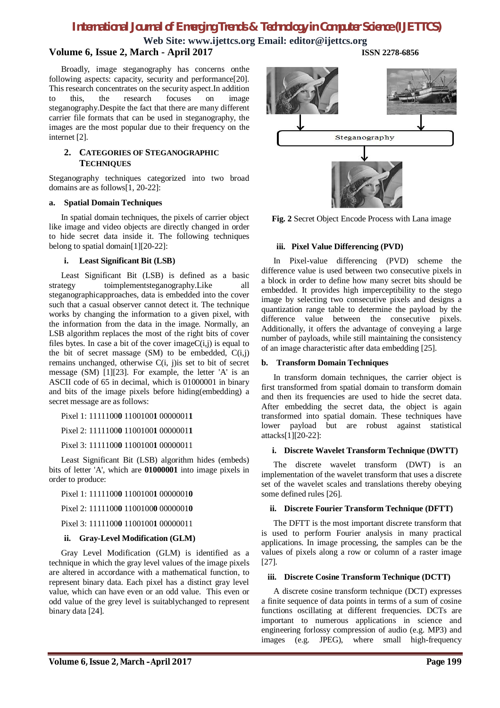## *International Journal of Emerging Trends & Technology in Computer Science (IJETTCS)*

**Web Site: www.ijettcs.org Email: editor@ijettcs.org**

### **Volume 6, Issue 2, March - April 2017 ISSN 2278-6856**

Broadly, image steganography has concerns onthe following aspects: capacity, security and performance[20]. This research concentrates on the security aspect.In addition to this, the research focuses on image steganography.Despite the fact that there are many different carrier file formats that can be used in steganography, the images are the most popular due to their frequency on the internet [2].

#### **2. CATEGORIES OF STEGANOGRAPHIC TECHNIQUES**

Steganography techniques categorized into two broad domains are as follows[1, 20-22]:

#### **a. Spatial Domain Techniques**

In spatial domain techniques, the pixels of carrier object like image and video objects are directly changed in order to hide secret data inside it. The following techniques belong to spatial domain[1][20-22]:

#### **i. Least Significant Bit (LSB)**

Least Significant Bit (LSB) is defined as a basic strategy toimplementsteganography.Like all steganographicapproaches, data is embedded into the cover such that a casual observer cannot detect it. The technique works by changing the information to a given pixel, with the information from the data in the image. Normally, an LSB algorithm replaces the most of the right bits of cover files bytes. In case a bit of the cover image $C(i,j)$  is equal to the bit of secret massage  $(SM)$  to be embedded,  $C(i,j)$ remains unchanged, otherwise C(i, j)is set to bit of secret message (SM) [1][23]. For example, the letter 'A' is an ASCII code of 65 in decimal, which is 01000001 in binary and bits of the image pixels before hiding(embedding) a secret message are as follows:

Pixel 1: 1111100**0** 1100100**1** 0000001**1**

Pixel 2: 1111100**0** 1100100**1** 0000001**1**

Pixel 3: 1111100**0** 1100100**1** 00000011

Least Significant Bit (LSB) algorithm hides (embeds) bits of letter 'A', which are **01000001** into image pixels in order to produce:

Pixel 1: 1111100**0** 1100100**1** 0000001**0**

Pixel 2: 1111100**0** 1100100**0** 0000001**0**

Pixel 3: 1111100**0** 1100100**1** 00000011

#### **ii. Gray-Level Modification (GLM)**

Gray Level Modification (GLM) is identified as a technique in which the gray level values of the image pixels are altered in accordance with a mathematical function, to represent binary data. Each pixel has a distinct gray level value, which can have even or an odd value. This even or odd value of the grey level is suitablychanged to represent binary data [24].



**Fig. 2** Secret Object Encode Process with Lana image

#### **iii. Pixel Value Differencing (PVD)**

In Pixel-value differencing (PVD) scheme the difference value is used between two consecutive pixels in a block in order to define how many secret bits should be embedded. It provides high imperceptibility to the stego image by selecting two consecutive pixels and designs a quantization range table to determine the payload by the difference value between the consecutive pixels. Additionally, it offers the advantage of conveying a large number of payloads, while still maintaining the consistency of an image characteristic after data embedding [25].

#### **b. Transform Domain Techniques**

In transform domain techniques, the carrier object is first transformed from spatial domain to transform domain and then its frequencies are used to hide the secret data. After embedding the secret data, the object is again transformed into spatial domain. These techniques have lower payload but are robust against statistical attacks[1][20-22]:

#### **i. Discrete Wavelet Transform Technique (DWTT)**

The discrete wavelet transform (DWT) is an implementation of the wavelet transform that uses a discrete set of the wavelet scales and translations thereby obeying some defined rules [26].

#### **ii. Discrete Fourier Transform Technique (DFTT)**

The DFTT is the most important discrete transform that is used to perform Fourier analysis in many practical applications. In image processing, the samples can be the values of pixels along a row or column of a raster image [27].

#### **iii. Discrete Cosine Transform Technique (DCTT)**

A discrete cosine transform technique (DCT) expresses a finite sequence of data points in terms of a sum of cosine functions oscillating at different frequencies. DCTs are important to numerous applications in science and engineering forlossy compression of audio (e.g. MP3) and images (e.g. JPEG), where small high-frequency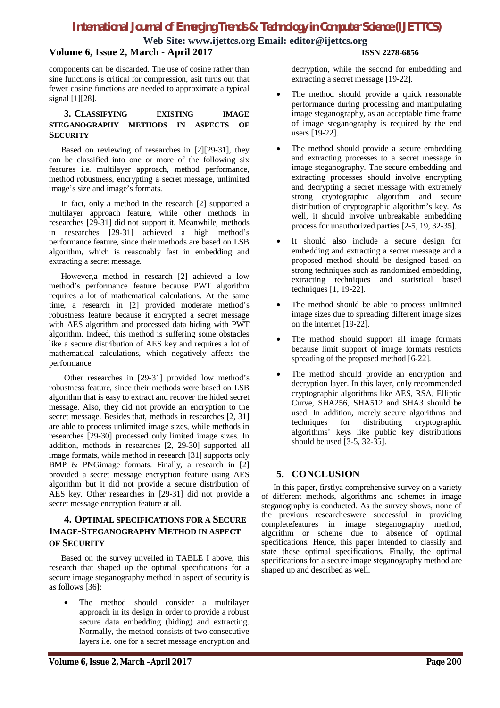### *International Journal of Emerging Trends & Technology in Computer Science (IJETTCS)*

**Web Site: www.ijettcs.org Email: editor@ijettcs.org**

#### **Volume 6, Issue 2, March - April 2017 ISSN 2278-6856**

components can be discarded. The use of cosine rather than sine functions is critical for compression, asit turns out that fewer cosine functions are needed to approximate a typical signal [1][28].

#### **3. CLASSIFYING EXISTING IMAGE STEGANOGRAPHY METHODS IN ASPECTS OF SECURITY**

Based on reviewing of researches in [2][29-31], they can be classified into one or more of the following six features i.e. multilayer approach, method performance, method robustness, encrypting a secret message, unlimited image's size and image's formats.

In fact, only a method in the research [2] supported a multilayer approach feature, while other methods in researches [29-31] did not support it. Meanwhile, methods in researches [29-31] achieved a high method's performance feature, since their methods are based on LSB algorithm, which is reasonably fast in embedding and extracting a secret message.

However,a method in research [2] achieved a low method's performance feature because PWT algorithm requires a lot of mathematical calculations. At the same time, a research in [2] provided moderate method's robustness feature because it encrypted a secret message with AES algorithm and processed data hiding with PWT algorithm. Indeed, this method is suffering some obstacles like a secure distribution of AES key and requires a lot of mathematical calculations, which negatively affects the performance.

Other researches in [29-31] provided low method's robustness feature, since their methods were based on LSB algorithm that is easy to extract and recover the hided secret message. Also, they did not provide an encryption to the secret message. Besides that, methods in researches [2, 31] are able to process unlimited image sizes, while methods in researches [29-30] processed only limited image sizes. In addition, methods in researches [2, 29-30] supported all image formats, while method in research [31] supports only BMP & PNGimage formats. Finally, a research in [2] provided a secret message encryption feature using AES algorithm but it did not provide a secure distribution of AES key. Other researches in [29-31] did not provide a secret message encryption feature at all.

### **4. OPTIMAL SPECIFICATIONS FOR A SECURE IMAGE-STEGANOGRAPHY METHOD IN ASPECT OF SECURITY**

Based on the survey unveiled in TABLE I above, this research that shaped up the optimal specifications for a secure image steganography method in aspect of security is as follows [36]:

 The method should consider a multilayer approach in its design in order to provide a robust secure data embedding (hiding) and extracting. Normally, the method consists of two consecutive layers i.e. one for a secret message encryption and decryption, while the second for embedding and extracting a secret message [19-22].

- The method should provide a quick reasonable performance during processing and manipulating image steganography, as an acceptable time frame of image steganography is required by the end users [19-22].
- The method should provide a secure embedding and extracting processes to a secret message in image steganography. The secure embedding and extracting processes should involve encrypting and decrypting a secret message with extremely strong cryptographic algorithm and secure distribution of cryptographic algorithm's key. As well, it should involve unbreakable embedding process for unauthorized parties [2-5, 19, 32-35].
- It should also include a secure design for embedding and extracting a secret message and a proposed method should be designed based on strong techniques such as randomized embedding, extracting techniques and statistical based techniques [1, 19-22].
- The method should be able to process unlimited image sizes due to spreading different image sizes on the internet [19-22].
- The method should support all image formats because limit support of image formats restricts spreading of the proposed method [6-22].
- The method should provide an encryption and decryption layer. In this layer, only recommended cryptographic algorithms like AES, RSA, Elliptic Curve, SHA256, SHA512 and SHA3 should be used. In addition, merely secure algorithms and techniques for distributing cryptographic algorithms' keys like public key distributions should be used [3-5, 32-35].

### **5. CONCLUSION**

In this paper, firstlya comprehensive survey on a variety of different methods, algorithms and schemes in image steganography is conducted. As the survey shows, none of the previous researcheswere successful in providing completefeatures in image steganography method, algorithm or scheme due to absence of optimal specifications. Hence, this paper intended to classify and state these optimal specifications. Finally, the optimal specifications for a secure image steganography method are shaped up and described as well.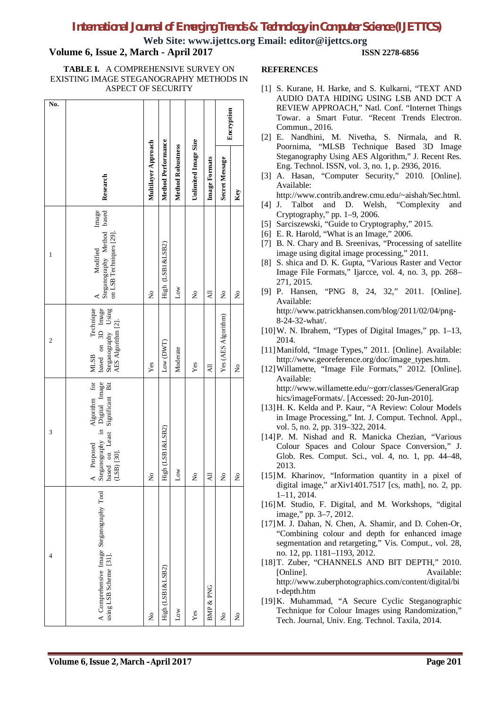### *International Journal of Emerging Trends & Technology in Computer Science (IJETTCS)*

**Web Site: www.ijettcs.org Email: editor@ijettcs.org**

### **Volume 6, Issue 2, March - April 2017 ISSN 2278-6856**

#### **TABLE I.** A COMPREHENSIVE SURVEY ON EXISTING IMAGE STEGANOGRAPHY METHODS IN ASPECT OF SECURITY

| No.            |                                                                                                             |                     | <b>Method Performance</b> |                          | Unlimited Image Size | <b>Image Formats</b> | Encryption          |     |
|----------------|-------------------------------------------------------------------------------------------------------------|---------------------|---------------------------|--------------------------|----------------------|----------------------|---------------------|-----|
|                | Research                                                                                                    | Multilayer Approach |                           | <b>Method Robustness</b> |                      |                      | Secret Message      | Key |
| $\mathbf{1}$   | Steganography Method based<br>Image<br>on LSB Techniques [29].<br>Modified                                  | 2                   | High (LSB1&LSB2)          | $_{\text{Low}}$          | ż                    | ₹                    | ż                   | ż   |
| $\overline{c}$ | based on 3D Image<br>Steganography Using<br>AES Algorithm [2].<br>Technique<br><b>MLSB</b>                  | Yes                 | Low (DWT)                 | Moderate                 | Yes                  | $\overline{AB}$      | Yes (AES Algorithm) | ž   |
| 3              | A Proposed Algorithm for<br>Steganography in Digital Image<br>based on Least Significant Bit<br>(LSB) [30]. | ż                   | High (LSB1&LSB2)          | Low                      | ż                    | ミ                    | ż                   | ż   |
| 4              | A Comprehensive Image Steganography Tool<br>using LSB Scheme [31].                                          | ż                   | High (LSB1&LSB2)          | Low                      | Yes                  | BMP & PNG            | ż                   | ż   |

### **REFERENCES**

- [1] S. Kurane, H. Harke, and S. Kulkarni, "TEXT AND AUDIO DATA HIDING USING LSB AND DCT A REVIEW APPROACH," Natl. Conf. "Internet Things Towar. a Smart Futur. "Recent Trends Electron. Commun., 2016.
- [2] E. Nandhini, M. Nivetha, S. Nirmala, and R. Poornima, "MLSB Technique Based 3D Image Steganography Using AES Algorithm," J. Recent Res. Eng. Technol. ISSN, vol. 3, no. 1, p. 2936, 2016.
- [3] A. Hasan, "Computer Security," 2010. [Online]. Available:
	- http://www.contrib.andrew.cmu.edu/~aishah/Sec.html.
- [4] J. Talbot and D. Welsh, "Complexity and Cryptography," pp. 1–9, 2006.
- [5] Sarciszewski, "Guide to Cryptography," 2015.
- [6] E. R. Harold, "What is an Image," 2006.
- [7] B. N. Chary and B. Sreenivas, "Processing of satellite image using digital image processing," 2011.
- [8] S. shica and D. K. Gupta, "Various Raster and Vector Image File Formats," Ijarcce, vol. 4, no. 3, pp. 268– 271, 2015.
- [9] P. Hansen, "PNG 8, 24, 32," 2011. [Online]. Available: http://www.patrickhansen.com/blog/2011/02/04/png-8-24-32-what/.
- [10]W. N. Ibrahem, "Types of Digital Images," pp. 1–13, 2014.
- [11]Manifold, "Image Types," 2011. [Online]. Available: http://www.georeference.org/doc/image\_types.htm.
- [12]Willamette, "Image File Formats," 2012. [Online]. Available: http://www.willamette.edu/~gorr/classes/GeneralGrap

hics/imageFormats/. [Accessed: 20-Jun-2010]. [13]H. K. Kelda and P. Kaur, "A Review: Colour Models in Image Processing," Int. J. Comput. Technol. Appl.,

- vol. 5, no. 2, pp. 319–322, 2014. [14]P. M. Nishad and R. Manicka Chezian, "Various Colour Spaces and Colour Space Conversion," J. Glob. Res. Comput. Sci., vol. 4, no. 1, pp. 44–48, 2013.
- [15]M. Kharinov, "Information quantity in a pixel of digital image," arXiv1401.7517 [cs, math], no. 2, pp. 1–11, 2014.
- [16]M. Studio, F. Digital, and M. Workshops, "digital image," pp. 3–7, 2012.
- [17] M. J. Dahan, N. Chen, A. Shamir, and D. Cohen-Or, "Combining colour and depth for enhanced image segmentation and retargeting," Vis. Comput., vol. 28, no. 12, pp. 1181–1193, 2012.
- [18]T. Zuber, "CHANNELS AND BIT DEPTH," 2010. [Online]. Available: http://www.zuberphotographics.com/content/digital/bi t-depth.htm
- [19]K. Muhammad, "A Secure Cyclic Steganographic Technique for Colour Images using Randomization," Tech. Journal, Univ. Eng. Technol. Taxila, 2014.